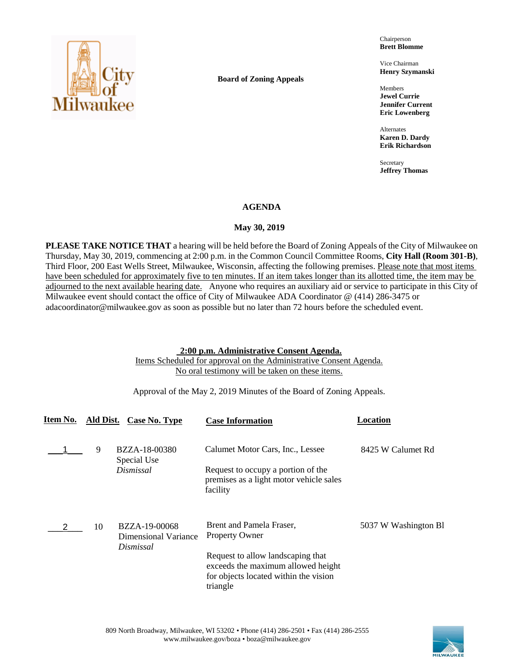

**Board of Zoning Appeals**

Chairperson **Brett Blomme**

Vice Chairman **Henry Szymanski**

Members **Jewel Currie Jennifer Current Eric Lowenberg**

Alternates **Karen D. Dardy Erik Richardson**

Secretary **Jeffrey Thomas**

## **AGENDA**

## May 30, 2019

**PLEASE TAKE NOTICE THAT** a hearing will be held before the Board of Zoning Appeals of the City of Milwaukee on Thursday, May 30, 2019, commencing at 2:00 p.m. in the Common Council Committee Rooms, **City Hall (Room 301-B)**, Third Floor, 200 East Wells Street, Milwaukee, Wisconsin, affecting the following premises. Please note that most items have been scheduled for approximately five to ten minutes. If an item takes longer than its allotted time, the item may be adjourned to the next available hearing date. Anyone who requires an auxiliary aid or service to participate in this City of Milwaukee event should contact the office of City of Milwaukee ADA Coordinator @ (414) 286-3475 or adacoordinator@milwaukee.gov as soon as possible but no later than 72 hours before the scheduled event.

## **2:00 p.m. Administrative Consent Agenda.**

Items Scheduled for approval on the Administrative Consent Agenda. No oral testimony will be taken on these items.

Approval of the May 2, 2019 Minutes of the Board of Zoning Appeals.

| Item No. |    | Ald Dist. Case No. Type                            | <b>Case Information</b>                                                                                                      | Location             |
|----------|----|----------------------------------------------------|------------------------------------------------------------------------------------------------------------------------------|----------------------|
|          | 9  | BZZA-18-00380                                      | Calumet Motor Cars, Inc., Lessee                                                                                             | 8425 W Calumet Rd    |
|          |    | Special Use<br>Dismissal                           | Request to occupy a portion of the<br>premises as a light motor vehicle sales<br>facility                                    |                      |
|          | 10 | BZZA-19-00068<br>Dimensional Variance<br>Dismissal | Brent and Pamela Fraser,<br><b>Property Owner</b>                                                                            | 5037 W Washington B1 |
|          |    |                                                    | Request to allow landscaping that<br>exceeds the maximum allowed height<br>for objects located within the vision<br>triangle |                      |

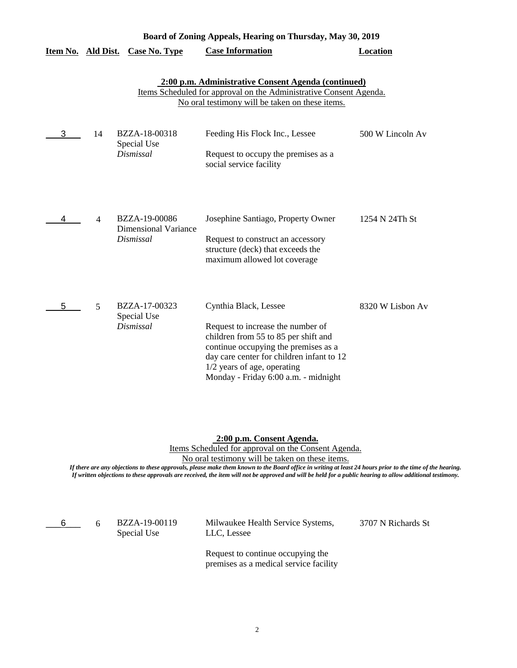|                    |                |                                                           | Board of Zoning Appeals, Hearing on Thursday, May 30, 2019                                                                                                                                                                                                     |                  |
|--------------------|----------------|-----------------------------------------------------------|----------------------------------------------------------------------------------------------------------------------------------------------------------------------------------------------------------------------------------------------------------------|------------------|
| Item No. Ald Dist. |                | Case No. Type                                             | <b>Case Information</b>                                                                                                                                                                                                                                        | <b>Location</b>  |
|                    |                |                                                           | 2:00 p.m. Administrative Consent Agenda (continued)<br>Items Scheduled for approval on the Administrative Consent Agenda.<br>No oral testimony will be taken on these items.                                                                                   |                  |
| 3                  | 14             | BZZA-18-00318<br>Special Use<br>Dismissal                 | Feeding His Flock Inc., Lessee<br>Request to occupy the premises as a<br>social service facility                                                                                                                                                               | 500 W Lincoln Av |
| 4                  | $\overline{4}$ | BZZA-19-00086<br><b>Dimensional Variance</b><br>Dismissal | Josephine Santiago, Property Owner<br>Request to construct an accessory<br>structure (deck) that exceeds the<br>maximum allowed lot coverage                                                                                                                   | 1254 N 24Th St   |
| 5                  | 5              | BZZA-17-00323<br>Special Use<br>Dismissal                 | Cynthia Black, Lessee<br>Request to increase the number of<br>children from 55 to 85 per shift and<br>continue occupying the premises as a<br>day care center for children infant to 12<br>1/2 years of age, operating<br>Monday - Friday 6:00 a.m. - midnight | 8320 W Lisbon Av |

**2:00 p.m. Consent Agenda.**

Items Scheduled for approval on the Consent Agenda.

No oral testimony will be taken on these items.

*If there are any objections to these approvals, please make them known to the Board office in writing at least 24 hours prior to the time of the hearing. If written objections to these approvals are received, the item will not be approved and will be held for a public hearing to allow additional testimony.*

 $6\qquad 6$ 

Special Use

BZZA-19-00119 Milwaukee Health Service Systems, 3707 N Richards St LLC, Lessee

Request to continue occupying the premises as a medical service facility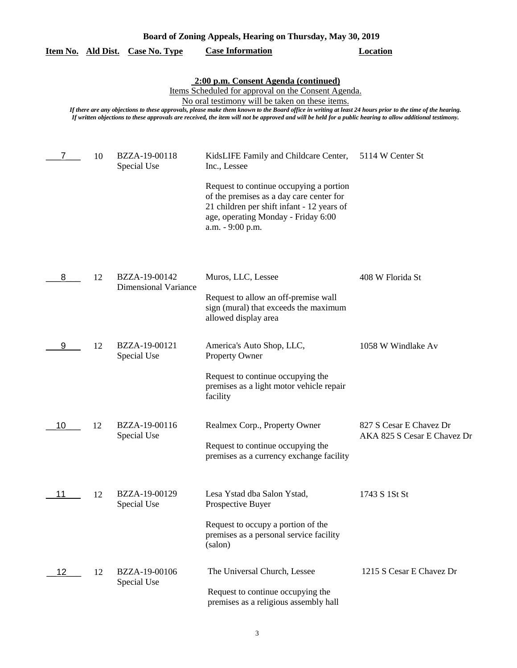| Board of Zoning Appeals, Hearing on Thursday, May 30, 2019                                                                                                                                                                                                                                                                                                                                                                                                               |    |                                              |                                                                                                                                                                                                                                                       |                                                        |  |  |
|--------------------------------------------------------------------------------------------------------------------------------------------------------------------------------------------------------------------------------------------------------------------------------------------------------------------------------------------------------------------------------------------------------------------------------------------------------------------------|----|----------------------------------------------|-------------------------------------------------------------------------------------------------------------------------------------------------------------------------------------------------------------------------------------------------------|--------------------------------------------------------|--|--|
| Item No. Ald Dist.                                                                                                                                                                                                                                                                                                                                                                                                                                                       |    | <b>Case No. Type</b>                         | <b>Case Information</b>                                                                                                                                                                                                                               | <b>Location</b>                                        |  |  |
| 2:00 p.m. Consent Agenda (continued)<br>Items Scheduled for approval on the Consent Agenda.<br>No oral testimony will be taken on these items.<br>If there are any objections to these approvals, please make them known to the Board office in writing at least 24 hours prior to the time of the hearing.<br>If written objections to these approvals are received, the item will not be approved and will be held for a public hearing to allow additional testimony. |    |                                              |                                                                                                                                                                                                                                                       |                                                        |  |  |
|                                                                                                                                                                                                                                                                                                                                                                                                                                                                          | 10 | BZZA-19-00118<br>Special Use                 | KidsLIFE Family and Childcare Center,<br>Inc., Lessee<br>Request to continue occupying a portion<br>of the premises as a day care center for<br>21 children per shift infant - 12 years of<br>age, operating Monday - Friday 6:00<br>a.m. - 9:00 p.m. | 5114 W Center St                                       |  |  |
| 8                                                                                                                                                                                                                                                                                                                                                                                                                                                                        | 12 | BZZA-19-00142<br><b>Dimensional Variance</b> | Muros, LLC, Lessee<br>Request to allow an off-premise wall<br>sign (mural) that exceeds the maximum<br>allowed display area                                                                                                                           | 408 W Florida St                                       |  |  |
| 9                                                                                                                                                                                                                                                                                                                                                                                                                                                                        | 12 | BZZA-19-00121<br>Special Use                 | America's Auto Shop, LLC,<br><b>Property Owner</b><br>Request to continue occupying the<br>premises as a light motor vehicle repair<br>facility                                                                                                       | 1058 W Windlake Av                                     |  |  |
| 10                                                                                                                                                                                                                                                                                                                                                                                                                                                                       | 12 | BZZA-19-00116<br>Special Use                 | Realmex Corp., Property Owner<br>Request to continue occupying the<br>premises as a currency exchange facility                                                                                                                                        | 827 S Cesar E Chavez Dr<br>AKA 825 S Cesar E Chavez Dr |  |  |
| 11                                                                                                                                                                                                                                                                                                                                                                                                                                                                       | 12 | BZZA-19-00129<br>Special Use                 | Lesa Ystad dba Salon Ystad,<br>Prospective Buyer<br>Request to occupy a portion of the<br>premises as a personal service facility<br>(salon)                                                                                                          | 1743 S 1St St                                          |  |  |
| 12                                                                                                                                                                                                                                                                                                                                                                                                                                                                       | 12 | BZZA-19-00106<br>Special Use                 | The Universal Church, Lessee<br>Request to continue occupying the<br>premises as a religious assembly hall                                                                                                                                            | 1215 S Cesar E Chavez Dr                               |  |  |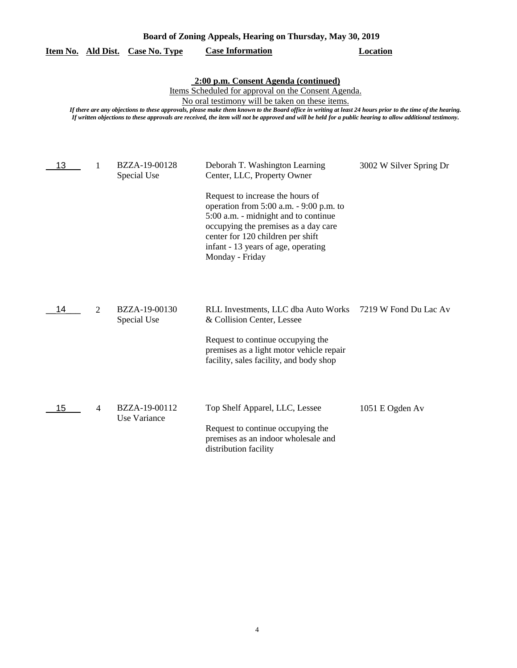|                                                                                                                                                                                                                                                                                                                                                                                                                                                                          |                | <u>Item No. Ald Dist. Case No. Type</u> | <b>Case Information</b>                                                                                                                                                                                                                                                                                                     | Location                |  |  |
|--------------------------------------------------------------------------------------------------------------------------------------------------------------------------------------------------------------------------------------------------------------------------------------------------------------------------------------------------------------------------------------------------------------------------------------------------------------------------|----------------|-----------------------------------------|-----------------------------------------------------------------------------------------------------------------------------------------------------------------------------------------------------------------------------------------------------------------------------------------------------------------------------|-------------------------|--|--|
| 2:00 p.m. Consent Agenda (continued)<br>Items Scheduled for approval on the Consent Agenda.<br>No oral testimony will be taken on these items.<br>If there are any objections to these approvals, please make them known to the Board office in writing at least 24 hours prior to the time of the hearing.<br>If written objections to these approvals are received, the item will not be approved and will be held for a public hearing to allow additional testimony. |                |                                         |                                                                                                                                                                                                                                                                                                                             |                         |  |  |
| 13                                                                                                                                                                                                                                                                                                                                                                                                                                                                       | 1              | BZZA-19-00128<br>Special Use            | Deborah T. Washington Learning<br>Center, LLC, Property Owner<br>Request to increase the hours of<br>operation from 5:00 a.m. - 9:00 p.m. to<br>5:00 a.m. - midnight and to continue<br>occupying the premises as a day care<br>center for 120 children per shift<br>infant - 13 years of age, operating<br>Monday - Friday | 3002 W Silver Spring Dr |  |  |
| 14                                                                                                                                                                                                                                                                                                                                                                                                                                                                       | $\overline{2}$ | BZZA-19-00130<br>Special Use            | RLL Investments, LLC dba Auto Works<br>& Collision Center, Lessee<br>Request to continue occupying the<br>premises as a light motor vehicle repair<br>facility, sales facility, and body shop                                                                                                                               | 7219 W Fond Du Lac Av   |  |  |
| 15                                                                                                                                                                                                                                                                                                                                                                                                                                                                       | 4              | BZZA-19-00112<br>Use Variance           | Top Shelf Apparel, LLC, Lessee<br>Request to continue occupying the<br>premises as an indoor wholesale and<br>distribution facility                                                                                                                                                                                         | 1051 E Ogden Av         |  |  |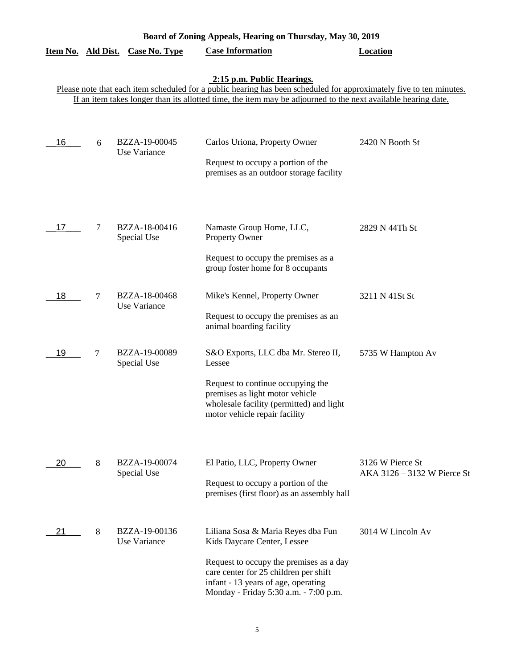| Item No. Ald Dist. |   | <b>Case No. Type</b>          | <b>Case Information</b>                                                                                                                                                                                                               | <b>Location</b>                                 |
|--------------------|---|-------------------------------|---------------------------------------------------------------------------------------------------------------------------------------------------------------------------------------------------------------------------------------|-------------------------------------------------|
|                    |   |                               | 2:15 p.m. Public Hearings.<br>Please note that each item scheduled for a public hearing has been scheduled for approximately five to ten minutes.                                                                                     |                                                 |
|                    |   |                               | If an item takes longer than its allotted time, the item may be adjourned to the next available hearing date.                                                                                                                         |                                                 |
| 16                 | 6 | BZZA-19-00045<br>Use Variance | Carlos Uriona, Property Owner<br>Request to occupy a portion of the<br>premises as an outdoor storage facility                                                                                                                        | 2420 N Booth St                                 |
| 17                 | 7 | BZZA-18-00416<br>Special Use  | Namaste Group Home, LLC,<br>Property Owner<br>Request to occupy the premises as a<br>group foster home for 8 occupants                                                                                                                | 2829 N 44Th St                                  |
| 18                 | 7 | BZZA-18-00468<br>Use Variance | Mike's Kennel, Property Owner<br>Request to occupy the premises as an<br>animal boarding facility                                                                                                                                     | 3211 N 41St St                                  |
| 19                 | 7 | BZZA-19-00089<br>Special Use  | S&O Exports, LLC dba Mr. Stereo II,<br>Lessee<br>Request to continue occupying the<br>premises as light motor vehicle<br>wholesale facility (permitted) and light<br>motor vehicle repair facility                                    | 5735 W Hampton Av                               |
| 20                 | 8 | BZZA-19-00074<br>Special Use  | El Patio, LLC, Property Owner<br>Request to occupy a portion of the<br>premises (first floor) as an assembly hall                                                                                                                     | 3126 W Pierce St<br>AKA 3126 - 3132 W Pierce St |
| 21                 | 8 | BZZA-19-00136<br>Use Variance | Liliana Sosa & Maria Reyes dba Fun<br>Kids Daycare Center, Lessee<br>Request to occupy the premises as a day<br>care center for 25 children per shift<br>infant - 13 years of age, operating<br>Monday - Friday 5:30 a.m. - 7:00 p.m. | 3014 W Lincoln Av                               |

**Board of Zoning Appeals, Hearing on Thursday, May 30, 2019**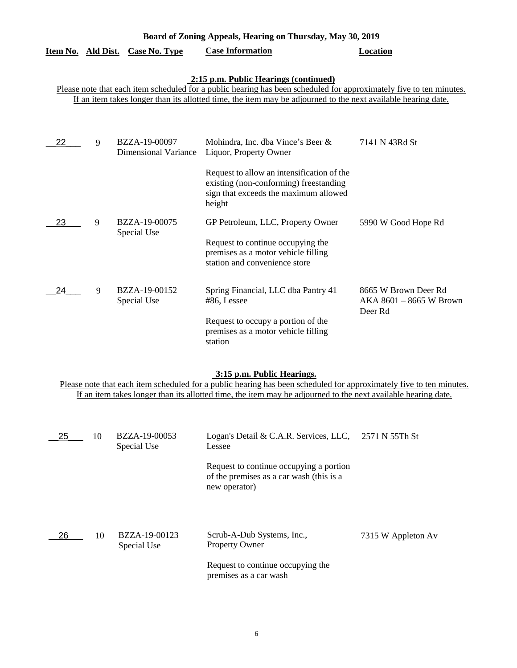| Item No. Ald Dist. |   | Case No. Type                                | <b>Case Information</b>                                                                                                                                                                                                                                                       | Location                                                     |
|--------------------|---|----------------------------------------------|-------------------------------------------------------------------------------------------------------------------------------------------------------------------------------------------------------------------------------------------------------------------------------|--------------------------------------------------------------|
|                    |   |                                              | 2:15 p.m. Public Hearings (continued)<br>Please note that each item scheduled for a public hearing has been scheduled for approximately five to ten minutes.<br>If an item takes longer than its allotted time, the item may be adjourned to the next available hearing date. |                                                              |
| 22                 | 9 | BZZA-19-00097<br><b>Dimensional Variance</b> | Mohindra, Inc. dba Vince's Beer &<br>Liquor, Property Owner<br>Request to allow an intensification of the<br>existing (non-conforming) freestanding<br>sign that exceeds the maximum allowed<br>height                                                                        | 7141 N 43Rd St                                               |
| 23                 | 9 | BZZA-19-00075<br>Special Use                 | GP Petroleum, LLC, Property Owner<br>Request to continue occupying the<br>premises as a motor vehicle filling<br>station and convenience store                                                                                                                                | 5990 W Good Hope Rd                                          |
| 24                 | 9 | BZZA-19-00152<br>Special Use                 | Spring Financial, LLC dba Pantry 41<br>#86, Lessee<br>Request to occupy a portion of the<br>premises as a motor vehicle filling<br>station                                                                                                                                    | 8665 W Brown Deer Rd<br>$AKA 8601 - 8665 W Brown$<br>Deer Rd |

**Board of Zoning Appeals, Hearing on Thursday, May 30, 2019** 

## **3:15 p.m. Public Hearings.**

Please note that each item scheduled for a public hearing has been scheduled for approximately five to ten minutes. If an item takes longer than its allotted time, the item may be adjourned to the next available hearing date.

| 25 | 10 | BZZA-19-00053<br>Special Use | Logan's Detail & C.A.R. Services, LLC,<br>Lessee                                                                   | 2571 N 55Th St     |
|----|----|------------------------------|--------------------------------------------------------------------------------------------------------------------|--------------------|
|    |    |                              | Request to continue occupying a portion<br>of the premises as a car wash (this is a<br>new operator)               |                    |
| 26 | 10 | BZZA-19-00123<br>Special Use | Scrub-A-Dub Systems, Inc.,<br><b>Property Owner</b><br>Request to continue occupying the<br>premises as a car wash | 7315 W Appleton Av |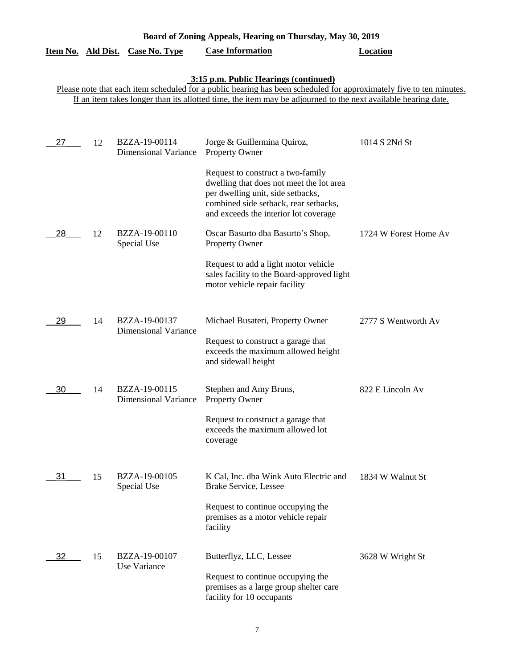|                                                                                                                                                              |    | Item No. Ald Dist. Case No. Type             | <b>Case Information</b>                                                                                                                                                                              | Location              |  |  |
|--------------------------------------------------------------------------------------------------------------------------------------------------------------|----|----------------------------------------------|------------------------------------------------------------------------------------------------------------------------------------------------------------------------------------------------------|-----------------------|--|--|
| 3:15 p.m. Public Hearings (continued)<br>Please note that each item scheduled for a public hearing has been scheduled for approximately five to ten minutes. |    |                                              |                                                                                                                                                                                                      |                       |  |  |
|                                                                                                                                                              |    |                                              | If an item takes longer than its allotted time, the item may be adjourned to the next available hearing date.                                                                                        |                       |  |  |
| 27                                                                                                                                                           | 12 | BZZA-19-00114                                | Jorge & Guillermina Quiroz,                                                                                                                                                                          | 1014 S 2Nd St         |  |  |
|                                                                                                                                                              |    | <b>Dimensional Variance</b>                  | Property Owner                                                                                                                                                                                       |                       |  |  |
|                                                                                                                                                              |    |                                              | Request to construct a two-family<br>dwelling that does not meet the lot area<br>per dwelling unit, side setbacks,<br>combined side setback, rear setbacks,<br>and exceeds the interior lot coverage |                       |  |  |
| 28                                                                                                                                                           | 12 | BZZA-19-00110<br>Special Use                 | Oscar Basurto dba Basurto's Shop,<br>Property Owner                                                                                                                                                  | 1724 W Forest Home Av |  |  |
|                                                                                                                                                              |    |                                              | Request to add a light motor vehicle<br>sales facility to the Board-approved light<br>motor vehicle repair facility                                                                                  |                       |  |  |
| 29                                                                                                                                                           | 14 | BZZA-19-00137<br><b>Dimensional Variance</b> | Michael Busateri, Property Owner                                                                                                                                                                     | 2777 S Wentworth Av   |  |  |
|                                                                                                                                                              |    |                                              | Request to construct a garage that<br>exceeds the maximum allowed height<br>and sidewall height                                                                                                      |                       |  |  |
| 30                                                                                                                                                           | 14 | BZZA-19-00115<br><b>Dimensional Variance</b> | Stephen and Amy Bruns,<br>Property Owner                                                                                                                                                             | 822 E Lincoln Av      |  |  |
|                                                                                                                                                              |    |                                              | Request to construct a garage that<br>exceeds the maximum allowed lot<br>coverage                                                                                                                    |                       |  |  |
| 31                                                                                                                                                           | 15 | BZZA-19-00105<br>Special Use                 | K Cal, Inc. dba Wink Auto Electric and<br>Brake Service, Lessee                                                                                                                                      | 1834 W Walnut St      |  |  |
|                                                                                                                                                              |    |                                              | Request to continue occupying the<br>premises as a motor vehicle repair<br>facility                                                                                                                  |                       |  |  |
| 32                                                                                                                                                           | 15 | BZZA-19-00107<br>Use Variance                | Butterflyz, LLC, Lessee                                                                                                                                                                              | 3628 W Wright St      |  |  |
|                                                                                                                                                              |    |                                              | Request to continue occupying the<br>premises as a large group shelter care<br>facility for 10 occupants                                                                                             |                       |  |  |

**Board of Zoning Appeals, Hearing on Thursday, May 30, 2019**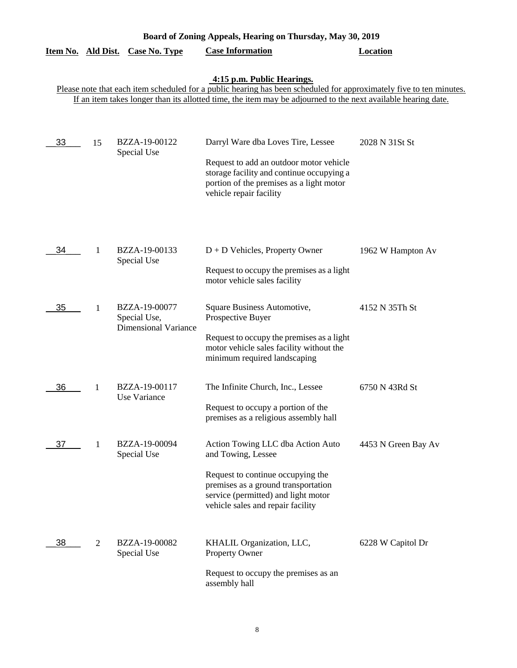| Board of Zoning Appeals, Hearing on Thursday, May 30, 2019 |                |                                                              |                                                                                                                                                                                                                                                                    |                     |  |
|------------------------------------------------------------|----------------|--------------------------------------------------------------|--------------------------------------------------------------------------------------------------------------------------------------------------------------------------------------------------------------------------------------------------------------------|---------------------|--|
| Item No. Ald Dist.                                         |                | <b>Case No. Type</b>                                         | <b>Case Information</b>                                                                                                                                                                                                                                            | <b>Location</b>     |  |
|                                                            |                |                                                              | 4:15 p.m. Public Hearings.<br>Please note that each item scheduled for a public hearing has been scheduled for approximately five to ten minutes.<br>If an item takes longer than its allotted time, the item may be adjourned to the next available hearing date. |                     |  |
| 33                                                         | 15             | BZZA-19-00122<br>Special Use                                 | Darryl Ware dba Loves Tire, Lessee<br>Request to add an outdoor motor vehicle<br>storage facility and continue occupying a<br>portion of the premises as a light motor<br>vehicle repair facility                                                                  | 2028 N 31St St      |  |
| 34                                                         | 1              | BZZA-19-00133<br>Special Use                                 | $D + D$ Vehicles, Property Owner<br>Request to occupy the premises as a light<br>motor vehicle sales facility                                                                                                                                                      | 1962 W Hampton Av   |  |
| 35                                                         | 1              | BZZA-19-00077<br>Special Use,<br><b>Dimensional Variance</b> | Square Business Automotive,<br>Prospective Buyer<br>Request to occupy the premises as a light<br>motor vehicle sales facility without the<br>minimum required landscaping                                                                                          | 4152 N 35Th St      |  |
| 36                                                         | 1              | BZZA-19-00117<br>Use Variance                                | The Infinite Church, Inc., Lessee<br>Request to occupy a portion of the<br>premises as a religious assembly hall                                                                                                                                                   | 6750 N 43Rd St      |  |
| 37                                                         | 1              | BZZA-19-00094<br>Special Use                                 | Action Towing LLC dba Action Auto<br>and Towing, Lessee<br>Request to continue occupying the<br>premises as a ground transportation<br>service (permitted) and light motor<br>vehicle sales and repair facility                                                    | 4453 N Green Bay Av |  |
| 38                                                         | $\mathfrak{2}$ | BZZA-19-00082<br>Special Use                                 | KHALIL Organization, LLC,<br><b>Property Owner</b><br>Request to occupy the premises as an<br>assembly hall                                                                                                                                                        | 6228 W Capitol Dr   |  |